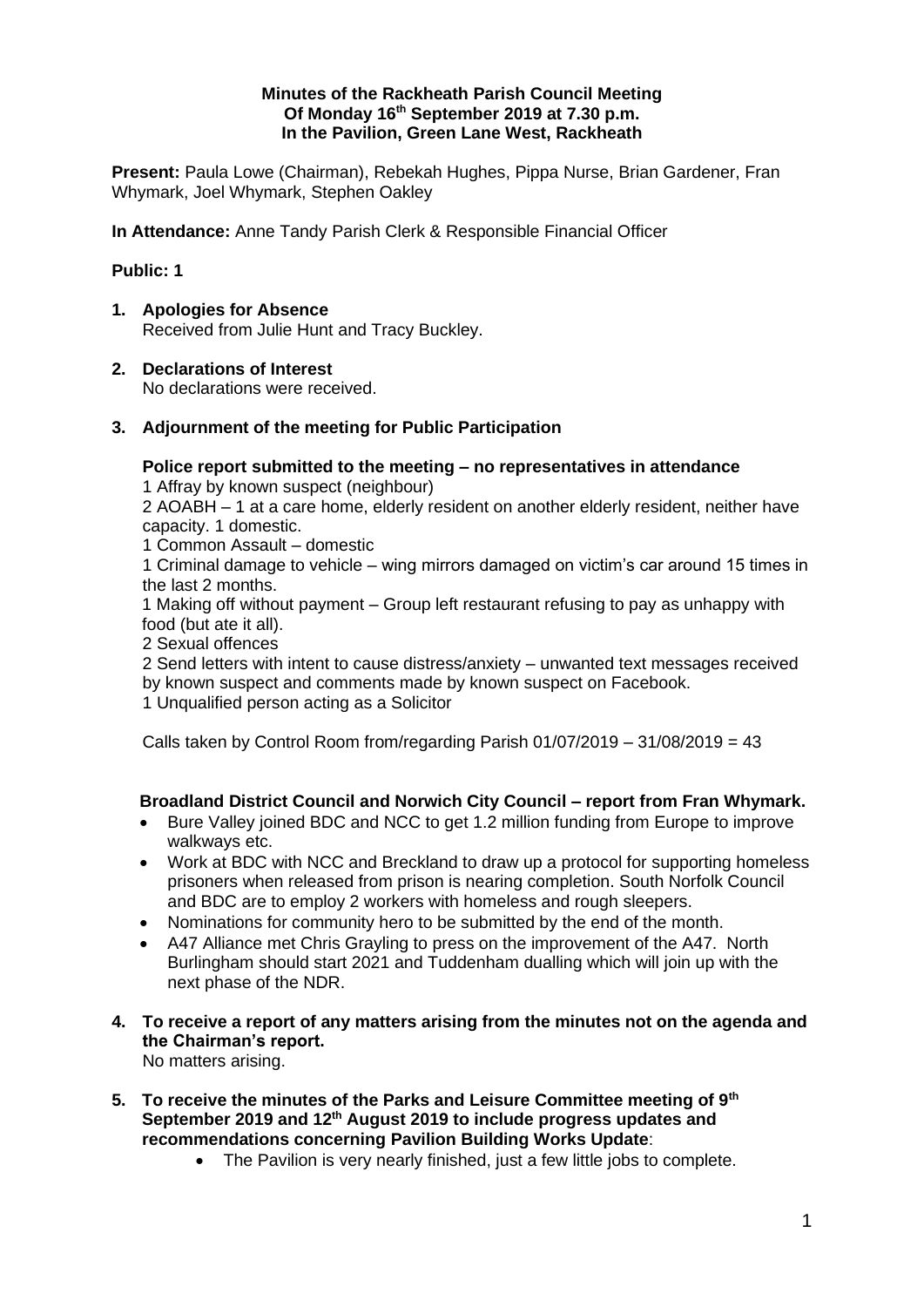#### **Minutes of the Rackheath Parish Council Meeting Of Monday 16 th September 2019 at 7.30 p.m. In the Pavilion, Green Lane West, Rackheath**

**Present:** Paula Lowe (Chairman), Rebekah Hughes, Pippa Nurse, Brian Gardener, Fran Whymark, Joel Whymark, Stephen Oakley

**In Attendance:** Anne Tandy Parish Clerk & Responsible Financial Officer

### **Public: 1**

- **1. Apologies for Absence** Received from Julie Hunt and Tracy Buckley.
- **2. Declarations of Interest**

No declarations were received.

**3. Adjournment of the meeting for Public Participation**

# **Police report submitted to the meeting – no representatives in attendance**

1 Affray by known suspect (neighbour)

2 AOABH – 1 at a care home, elderly resident on another elderly resident, neither have capacity. 1 domestic.

1 Common Assault – domestic

1 Criminal damage to vehicle – wing mirrors damaged on victim's car around 15 times in the last 2 months.

1 Making off without payment – Group left restaurant refusing to pay as unhappy with food (but ate it all).

2 Sexual offences

2 Send letters with intent to cause distress/anxiety – unwanted text messages received by known suspect and comments made by known suspect on Facebook. 1 Unqualified person acting as a Solicitor

Calls taken by Control Room from/regarding Parish 01/07/2019 – 31/08/2019 = 43

## **Broadland District Council and Norwich City Council – report from Fran Whymark.**

- Bure Valley joined BDC and NCC to get 1.2 million funding from Europe to improve walkways etc.
- Work at BDC with NCC and Breckland to draw up a protocol for supporting homeless prisoners when released from prison is nearing completion. South Norfolk Council and BDC are to employ 2 workers with homeless and rough sleepers.
- Nominations for community hero to be submitted by the end of the month.
- A47 Alliance met Chris Grayling to press on the improvement of the A47. North Burlingham should start 2021 and Tuddenham dualling which will join up with the next phase of the NDR.
- **4. To receive a report of any matters arising from the minutes not on the agenda and the Chairman's report.** No matters arising.
- **5. To receive the minutes of the Parks and Leisure Committee meeting of 9th September 2019 and 12th August 2019 to include progress updates and recommendations concerning Pavilion Building Works Update**:
	- The Pavilion is very nearly finished, just a few little jobs to complete.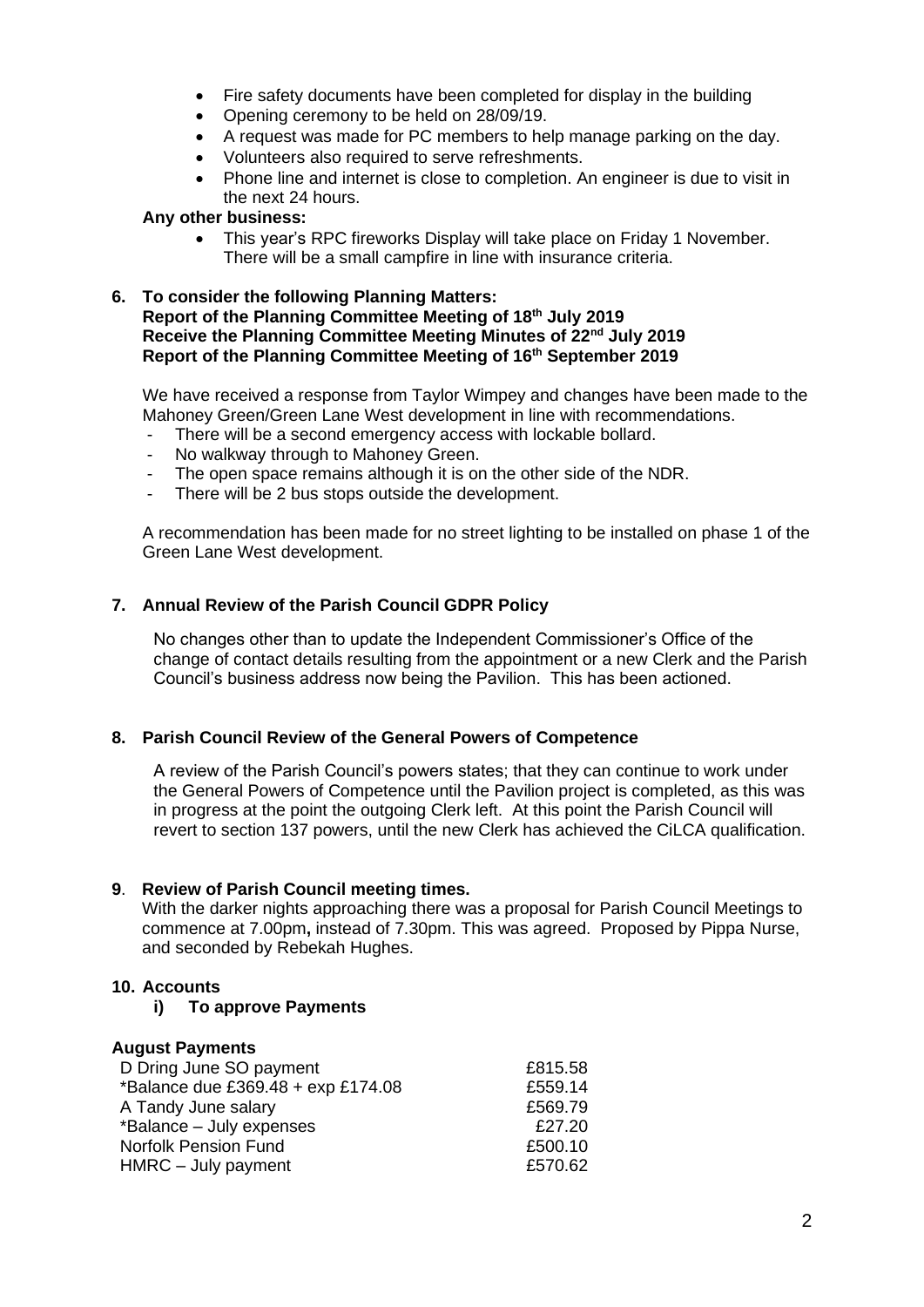- Fire safety documents have been completed for display in the building
- Opening ceremony to be held on 28/09/19.
- A request was made for PC members to help manage parking on the day.
- Volunteers also required to serve refreshments.
- Phone line and internet is close to completion. An engineer is due to visit in the next 24 hours.

#### **Any other business:**

• This year's RPC fireworks Display will take place on Friday 1 November. There will be a small campfire in line with insurance criteria.

#### **6. To consider the following Planning Matters: Report of the Planning Committee Meeting of 18th July 2019 Receive the Planning Committee Meeting Minutes of 22nd July 2019 Report of the Planning Committee Meeting of 16th September 2019**

We have received a response from Taylor Wimpey and changes have been made to the Mahoney Green/Green Lane West development in line with recommendations.

- There will be a second emergency access with lockable bollard.
- No walkway through to Mahoney Green.
- The open space remains although it is on the other side of the NDR.
- There will be 2 bus stops outside the development.

A recommendation has been made for no street lighting to be installed on phase 1 of the Green Lane West development.

### **7. Annual Review of the Parish Council GDPR Policy**

No changes other than to update the Independent Commissioner's Office of the change of contact details resulting from the appointment or a new Clerk and the Parish Council's business address now being the Pavilion. This has been actioned.

#### **8. Parish Council Review of the General Powers of Competence**

A review of the Parish Council's powers states; that they can continue to work under the General Powers of Competence until the Pavilion project is completed, as this was in progress at the point the outgoing Clerk left. At this point the Parish Council will revert to section 137 powers, until the new Clerk has achieved the CiLCA qualification.

### **9**. **Review of Parish Council meeting times.**

With the darker nights approaching there was a proposal for Parish Council Meetings to commence at 7.00pm**,** instead of 7.30pm. This was agreed. Proposed by Pippa Nurse, and seconded by Rebekah Hughes.

## **10. Accounts**

#### **i) To approve Payments**

### **August Payments**

| D Dring June SO payment            | £815.58 |
|------------------------------------|---------|
| *Balance due £369.48 + exp £174.08 | £559.14 |
| A Tandy June salary                | £569.79 |
| *Balance - July expenses           | £27.20  |
| <b>Norfolk Pension Fund</b>        | £500.10 |
| HMRC - July payment                | £570.62 |
|                                    |         |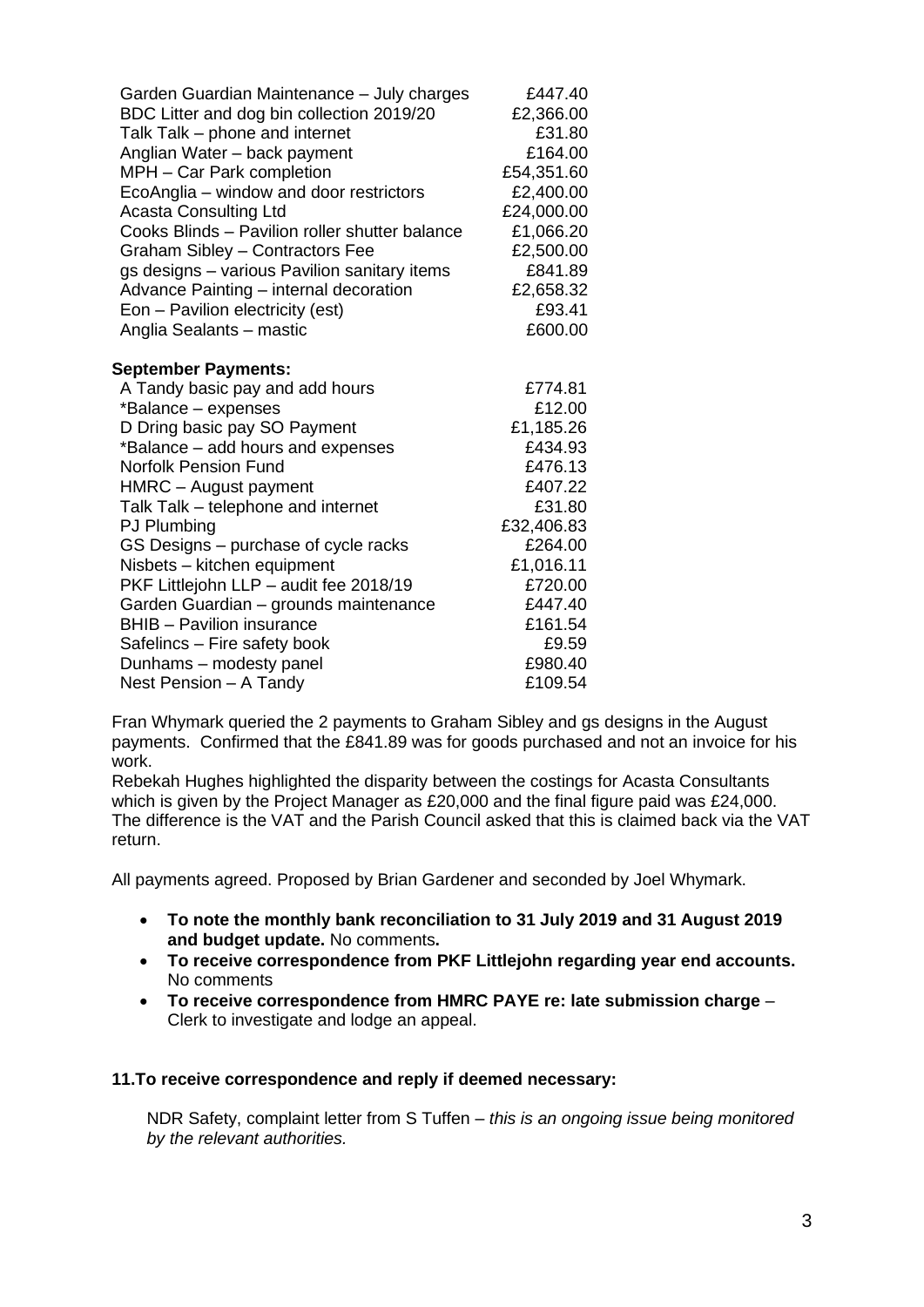| Garden Guardian Maintenance - July charges<br>BDC Litter and dog bin collection 2019/20<br>Talk Talk - phone and internet<br>Anglian Water - back payment<br>MPH - Car Park completion<br>EcoAnglia - window and door restrictors<br><b>Acasta Consulting Ltd</b><br>Cooks Blinds - Pavilion roller shutter balance<br>Graham Sibley - Contractors Fee<br>gs designs - various Pavilion sanitary items<br>Advance Painting - internal decoration<br>Eon - Pavilion electricity (est)<br>Anglia Sealants - mastic | £447.40<br>£2,366.00<br>£31.80<br>£164.00<br>£54,351.60<br>£2,400.00<br>£24,000.00<br>£1,066.20<br>£2,500.00<br>£841.89<br>£2,658.32<br>£93.41<br>£600.00 |
|------------------------------------------------------------------------------------------------------------------------------------------------------------------------------------------------------------------------------------------------------------------------------------------------------------------------------------------------------------------------------------------------------------------------------------------------------------------------------------------------------------------|-----------------------------------------------------------------------------------------------------------------------------------------------------------|
| <b>September Payments:</b>                                                                                                                                                                                                                                                                                                                                                                                                                                                                                       |                                                                                                                                                           |
| A Tandy basic pay and add hours                                                                                                                                                                                                                                                                                                                                                                                                                                                                                  | £774.81                                                                                                                                                   |
| *Balance - expenses                                                                                                                                                                                                                                                                                                                                                                                                                                                                                              | £12.00                                                                                                                                                    |
| D Dring basic pay SO Payment                                                                                                                                                                                                                                                                                                                                                                                                                                                                                     | £1,185.26                                                                                                                                                 |
| *Balance – add hours and expenses                                                                                                                                                                                                                                                                                                                                                                                                                                                                                | £434.93                                                                                                                                                   |
| <b>Norfolk Pension Fund</b>                                                                                                                                                                                                                                                                                                                                                                                                                                                                                      | £476.13                                                                                                                                                   |
| HMRC - August payment                                                                                                                                                                                                                                                                                                                                                                                                                                                                                            | £407.22                                                                                                                                                   |
| Talk Talk - telephone and internet<br>PJ Plumbing                                                                                                                                                                                                                                                                                                                                                                                                                                                                | £31.80<br>£32,406.83                                                                                                                                      |
| GS Designs - purchase of cycle racks                                                                                                                                                                                                                                                                                                                                                                                                                                                                             | £264.00                                                                                                                                                   |
| Nisbets - kitchen equipment                                                                                                                                                                                                                                                                                                                                                                                                                                                                                      | £1,016.11                                                                                                                                                 |
| PKF Littlejohn LLP - audit fee 2018/19                                                                                                                                                                                                                                                                                                                                                                                                                                                                           | £720.00                                                                                                                                                   |
| Garden Guardian - grounds maintenance                                                                                                                                                                                                                                                                                                                                                                                                                                                                            | £447.40                                                                                                                                                   |
| <b>BHIB</b> - Pavilion insurance                                                                                                                                                                                                                                                                                                                                                                                                                                                                                 | £161.54                                                                                                                                                   |
| Safelincs - Fire safety book                                                                                                                                                                                                                                                                                                                                                                                                                                                                                     | £9.59                                                                                                                                                     |
| Dunhams - modesty panel                                                                                                                                                                                                                                                                                                                                                                                                                                                                                          | £980.40                                                                                                                                                   |
| Nest Pension - A Tandy                                                                                                                                                                                                                                                                                                                                                                                                                                                                                           | £109.54                                                                                                                                                   |
|                                                                                                                                                                                                                                                                                                                                                                                                                                                                                                                  |                                                                                                                                                           |

Fran Whymark queried the 2 payments to Graham Sibley and gs designs in the August payments. Confirmed that the £841.89 was for goods purchased and not an invoice for his work.

Rebekah Hughes highlighted the disparity between the costings for Acasta Consultants which is given by the Project Manager as £20,000 and the final figure paid was £24,000. The difference is the VAT and the Parish Council asked that this is claimed back via the VAT return.

All payments agreed. Proposed by Brian Gardener and seconded by Joel Whymark.

- **To note the monthly bank reconciliation to 31 July 2019 and 31 August 2019 and budget update.** No comments**.**
- **To receive correspondence from PKF Littlejohn regarding year end accounts.**  No comments
- **To receive correspondence from HMRC PAYE re: late submission charge** Clerk to investigate and lodge an appeal.

### **11.To receive correspondence and reply if deemed necessary:**

NDR Safety, complaint letter from S Tuffen – *this is an ongoing issue being monitored by the relevant authorities.*